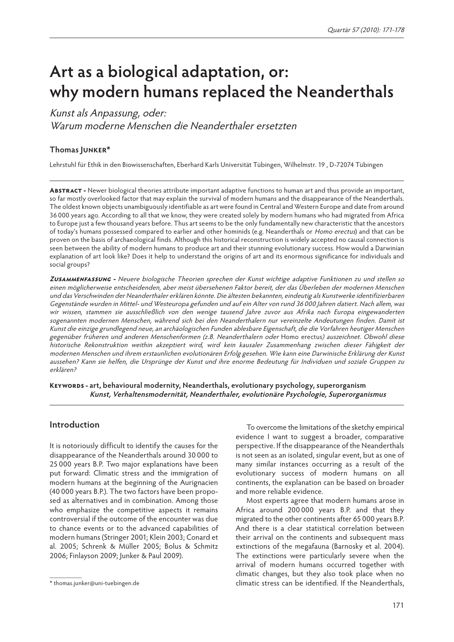# **Art as a biological adaptation, or: why modern humans replaced the Neanderthals**

#### Kunst als Anpassung, oder:

Warum moderne Menschen die Neanderthaler ersetzten

#### **Thomas Junker\***

Lehrstuhl für Ethik in den Biowissenschaften, Eberhard Karls Universität Tübingen, Wilhelmstr. 19 , D-72074 Tübingen

**Abstract -** Newer biological theories attribute important adaptive functions to human art and thus provide an important, so far mostly overlooked factor that may explain the survival of modern humans and the disappearance of the Neanderthals. The oldest known objects unambiguously identifiable as art were found in Central and Western Europe and date from around 36 000 years ago. According to all that we know, they were created solely by modern humans who had migrated from Africa to Europe just a few thousand years before. Thus art seems to be the only fundamentally new characteristic that the ancestors of today's humans possessed compared to earlier and other hominids (e.g. Neanderthals or Homo erectus) and that can be proven on the basis of archaeological finds. Although this historical reconstruction is widely accepted no causal connection is seen between the ability of modern humans to produce art and their stunning evolutionary success. How would a Darwinian explanation of art look like? Does it help to understand the origins of art and its enormous significance for individuals and social groups?

**Zusammenfassung -** Neuere biologische Theorien sprechen der Kunst wichtige adaptive Funktionen zu und stellen so einen möglicherweise entscheidenden, aber meist übersehenen Faktor bereit, der das Überleben der modernen Menschen und das Verschwinden der Neanderthaler erklären könnte. Die ältesten bekannten, eindeutig als Kunstwerke identifizierbaren Gegenstände wurden in Mittel- und Westeuropa gefunden und auf ein Alter von rund 36 000 Jahren datiert. Nach allem, was wir wissen, stammen sie ausschließlich von den wenige tausend Jahre zuvor aus Afrika nach Europa eingewanderten sogenannten modernen Menschen, während sich bei den Neanderthalern nur vereinzelte Andeutungen finden. Damit ist Kunst die einzige grundlegend neue, an archäologischen Funden ablesbare Eigenschaft, die die Vorfahren heutiger Menschen gegenüber früheren und anderen Menschenformen (z.B. Neanderthalern oder Homo erectus) auszeichnet. Obwohl diese historische Rekonstruktion weithin akzeptiert wird, wird kein kausaler Zusammenhang zwischen dieser Fähigkeit der modernen Menschen und ihrem erstaunlichen evolutionären Erfolg gesehen. Wie kann eine Darwinische Erklärung der Kunst aussehen? Kann sie helfen, die Ursprünge der Kunst und ihre enorme Bedeutung für Individuen und soziale Gruppen zu erklären?

**Keywords - art, behavioural modernity, Neanderthals, evolutionary psychology, superorganism Kunst, Verhaltensmodernität, Neanderthaler, evolutionäre Psychologie, Superorganismus**

#### **Introduction**

It is notoriously difficult to identify the causes for the disappearance of the Neanderthals around 30 000 to 25 000 years B.P. Two major explanations have been put forward: Climatic stress and the immigration of modern humans at the beginning of the Aurignacien (40 000 years B.P.). The two factors have been proposed as alternatives and in combination. Among those who emphasize the competitive aspects it remains controversial if the outcome of the encounter was due to chance events or to the advanced capabilities of modern humans (Stringer 2001; Klein 2003; Conard et al. 2005; Schrenk & Müller 2005; Bolus & Schmitz 2006; Finlayson 2009; Junker & Paul 2009).

To overcome the limitations of the sketchy empirical evidence I want to suggest a broader, comparative perspective. If the disappearance of the Neanderthals is not seen as an isolated, singular event, but as one of many similar instances occurring as a result of the evolutionary success of modern humans on all continents, the explanation can be based on broader and more reliable evidence.

Most experts agree that modern humans arose in Africa around 200 000 years B.P. and that they migrated to the other continents after 65 000 years B.P. And there is a clear statistical correlation between their arrival on the continents and subsequent mass extinctions of the megafauna (Barnosky et al. 2004). The extinctions were particularly severe when the arrival of modern humans occurred together with climatic changes, but they also took place when no climatic stress can be identified. If the Neanderthals,

<sup>\*</sup> thomas.junker@uni-tuebingen.de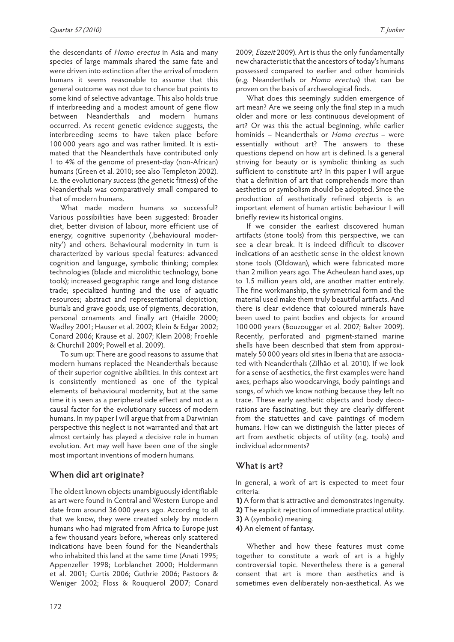the descendants of Homo erectus in Asia and many species of large mammals shared the same fate and were driven into extinction after the arrival of modern humans it seems reasonable to assume that this general outcome was not due to chance but points to some kind of selective advantage. This also holds true if interbreeding and a modest amount of gene flow between Neanderthals and modern humans occurred. As recent genetic evidence suggests, the interbreeding seems to have taken place before 100 000 years ago and was rather limited. It is estimated that the Neanderthals have contributed only 1 to 4% of the genome of present-day (non-African) humans (Green et al. 2010; see also Templeton 2002). I.e. the evolutionary success (the genetic fitness) of the Neanderthals was comparatively small compared to that of modern humans.

What made modern humans so successful? Various possibilities have been suggested: Broader diet, better division of labour, more efficient use of energy, cognitive superiority (,behavioural modernity') and others. Behavioural modernity in turn is characterized by various special features: advanced cognition and language, symbolic thinking; complex technologies (blade and microlithic technology, bone tools); increased geographic range and long distance trade; specialized hunting and the use of aquatic resources; abstract and representational depiction; burials and grave goods; use of pigments, decoration, personal ornaments and finally art (Haidle 2000; Wadley 2001; Hauser et al. 2002; Klein & Edgar 2002; Conard 2006; Krause et al. 2007; Klein 2008; Froehle & Churchill 2009; Powell et al. 2009).

To sum up: There are good reasons to assume that modern humans replaced the Neanderthals because of their superior cognitive abilities. In this context art is consistently mentioned as one of the typical elements of behavioural modernity, but at the same time it is seen as a peripheral side effect and not as a causal factor for the evolutionary success of modern humans. In my paper I will argue that from a Darwinian perspective this neglect is not warranted and that art almost certainly has played a decisive role in human evolution. Art may well have been one of the single most important inventions of modern humans.

#### **When did art originate?**

The oldest known objects unambiguously identifiable as art were found in Central and Western Europe and date from around 36 000 years ago. According to all that we know, they were created solely by modern humans who had migrated from Africa to Europe just a few thousand years before, whereas only scattered indications have been found for the Neanderthals who inhabited this land at the same time (Anati 1995; Appenzeller 1998; Lorblanchet 2000; Holdermann et al. 2001; Curtis 2006; Guthrie 2006; Pastoors & Weniger 2002; Floss & Rouquerol 2007; Conard 2009; Eiszeit 2009). Art is thus the only fundamentally new characteristic that the ancestors of today's humans possessed compared to earlier and other hominids (e.g. Neanderthals or Homo erectus) that can be proven on the basis of archaeological finds.

What does this seemingly sudden emergence of art mean? Are we seeing only the final step in a much older and more or less continuous development of art? Or was this the actual beginning, while earlier hominids - Neanderthals or Homo erectus - were essentially without art? The answers to these questions depend on how art is defined. Is a general striving for beauty or is symbolic thinking as such sufficient to constitute art? In this paper I will argue that a definition of art that comprehends more than aesthetics or symbolism should be adopted. Since the production of aesthetically refined objects is an important element of human artistic behaviour I will briefly review its historical origins.

If we consider the earliest discovered human artifacts (stone tools) from this perspective, we can see a clear break. It is indeed difficult to discover indications of an aesthetic sense in the oldest known stone tools (Oldowan), which were fabricated more than 2 million years ago. The Acheulean hand axes, up to 1.5 million years old, are another matter entirely. The fine workmanship, the symmetrical form and the material used make them truly beautiful artifacts. And there is clear evidence that coloured minerals have been used to paint bodies and objects for around 100 000 years (Bouzouggar et al. 2007; Balter 2009). Recently, perforated and pigment-stained marine shells have been described that stem from approximately 50 000 years old sites in Iberia that are associated with Neanderthals (Zilhão et al. 2010). If we look for a sense of aesthetics, the first examples were hand axes, perhaps also woodcarvings, body paintings and songs, of which we know nothing because they left no trace. These early aesthetic objects and body decorations are fascinating, but they are clearly different from the statuettes and cave paintings of modern humans. How can we distinguish the latter pieces of art from aesthetic objects of utility (e.g. tools) and individual adornments?

#### **What is art?**

In general, a work of art is expected to meet four criteria:

- **1)** A form that is attractive and demonstrates ingenuity.
- **2)** The explicit rejection of immediate practical utility.
- **3)** A (symbolic) meaning.
- **4)** An element of fantasy.

Whether and how these features must come together to constitute a work of art is a highly controversial topic. Nevertheless there is a general consent that art is more than aesthetics and is sometimes even deliberately non-aesthetical. As we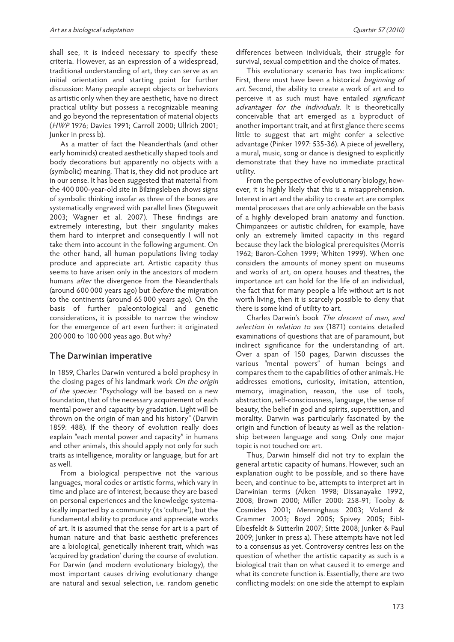shall see, it is indeed necessary to specify these criteria. However, as an expression of a widespread, traditional understanding of art, they can serve as an initial orientation and starting point for further discussion: Many people accept objects or behaviors as artistic only when they are aesthetic, have no direct practical utility but possess a recognizable meaning and go beyond the representation of material objects (HWP 1976; Davies 1991; Carroll 2000; Ullrich 2001; Junker in press b).

As a matter of fact the Neanderthals (and other early hominids) created aesthetically shaped tools and body decorations but apparently no objects with a (symbolic) meaning. That is, they did not produce art in our sense. It has been suggested that material from the 400 000-year-old site in Bilzingsleben shows signs of symbolic thinking insofar as three of the bones are systematically engraved with parallel lines (Steguweit 2003; Wagner et al. 2007). These findings are extremely interesting, but their singularity makes them hard to interpret and consequently I will not take them into account in the following argument. On the other hand, all human populations living today produce and appreciate art. Artistic capacity thus seems to have arisen only in the ancestors of modern humans after the divergence from the Neanderthals (around 600 000 years ago) but *before* the migration to the continents (around 65 000 years ago). On the basis of further paleontological and genetic considerations, it is possible to narrow the window for the emergence of art even further: it originated 200 000 to 100 000 yeas ago. But why?

#### **The Darwinian imperative**

In 1859, Charles Darwin ventured a bold prophesy in the closing pages of his landmark work On the origin of the species: "Psychology will be based on a new foundation, that of the necessary acquirement of each mental power and capacity by gradation. Light will be thrown on the origin of man and his history" (Darwin 1859: 488). If the theory of evolution really does explain "each mental power and capacity" in humans and other animals, this should apply not only for such traits as intelligence, morality or language, but for art as well.

From a biological perspective not the various languages, moral codes or artistic forms, which vary in time and place are of interest, because they are based on personal experiences and the knowledge systematically imparted by a community (its 'culture'), but the fundamental ability to produce and appreciate works of art. It is assumed that the sense for art is a part of human nature and that basic aesthetic preferences are a biological, genetically inherent trait, which was 'acquired by gradation' during the course of evolution. For Darwin (and modern evolutionary biology), the most important causes driving evolutionary change are natural and sexual selection, i.e. random genetic

differences between individuals, their struggle for survival, sexual competition and the choice of mates.

This evolutionary scenario has two implications: First, there must have been a historical beginning of art. Second, the ability to create a work of art and to perceive it as such must have entailed significant advantages for the individuals. It is theoretically conceivable that art emerged as a byproduct of another important trait, and at first glance there seems little to suggest that art might confer a selective advantage (Pinker 1997: 535-36). A piece of jewellery, a mural, music, song or dance is designed to explicitly demonstrate that they have no immediate practical utility.

From the perspective of evolutionary biology, however, it is highly likely that this is a misapprehension. Interest in art and the ability to create art are complex mental processes that are only achievable on the basis of a highly developed brain anatomy and function. Chimpanzees or autistic children, for example, have only an extremely limited capacity in this regard because they lack the biological prerequisites (Morris 1962; Baron-Cohen 1999; Whiten 1999). When one considers the amounts of money spent on museums and works of art, on opera houses and theatres, the importance art can hold for the life of an individual, the fact that for many people a life without art is not worth living, then it is scarcely possible to deny that there is some kind of utility to art.

Charles Darwin's book The descent of man, and selection in relation to sex (1871) contains detailed examinations of questions that are of paramount, but indirect significance for the understanding of art. Over a span of 150 pages, Darwin discusses the various "mental powers" of human beings and compares them to the capabilities of other animals. He addresses emotions, curiosity, imitation, attention, memory, imagination, reason, the use of tools, abstraction, self-consciousness, language, the sense of beauty, the belief in god and spirits, superstition, and morality. Darwin was particularly fascinated by the origin and function of beauty as well as the relationship between language and song. Only one major topic is not touched on: art.

Thus, Darwin himself did not try to explain the general artistic capacity of humans. However, such an explanation ought to be possible, and so there have been, and continue to be, attempts to interpret art in Darwinian terms (Aiken 1998; Dissanayake 1992, 2008; Brown 2000; Miller 2000: 258-91; Tooby & Cosmides 2001; Menninghaus 2003; Voland & Grammer 2003; Boyd 2005; Spivey 2005; Eibl-Eibesfeldt & Sütterlin 2007; Sitte 2008; Junker & Paul 2009; Junker in press a). These attempts have not led to a consensus as yet. Controversy centres less on the question of whether the artistic capacity as such is a biological trait than on what caused it to emerge and what its concrete function is. Essentially, there are two conflicting models: on one side the attempt to explain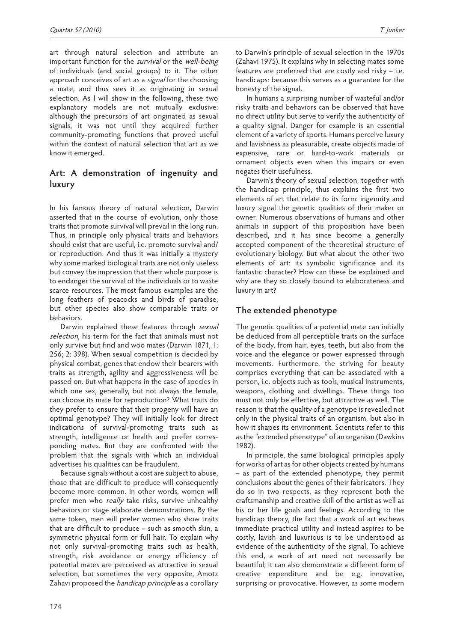art through natural selection and attribute an important function for the survival or the well-being of individuals (and social groups) to it. The other approach conceives of art as a *signal* for the choosing a mate, and thus sees it as originating in sexual selection. As I will show in the following, these two explanatory models are not mutually exclusive: although the precursors of art originated as sexual signals, it was not until they acquired further community-promoting functions that proved useful within the context of natural selection that art as we know it emerged.

#### **Art: A demonstration of ingenuity and luxury**

In his famous theory of natural selection, Darwin asserted that in the course of evolution, only those traits that promote survival will prevail in the long run. Thus, in principle only physical traits and behaviors should exist that are useful, i.e. promote survival and/ or reproduction. And thus it was initially a mystery why some marked biological traits are not only useless but convey the impression that their whole purpose is to endanger the survival of the individuals or to waste scarce resources. The most famous examples are the long feathers of peacocks and birds of paradise, but other species also show comparable traits or behaviors.

Darwin explained these features through sexual selection, his term for the fact that animals must not only survive but find and woo mates (Darwin 1871, 1: 256; 2: 398). When sexual competition is decided by physical combat, genes that endow their bearers with traits as strength, agility and aggressiveness will be passed on. But what happens in the case of species in which one sex, generally, but not always the female, can choose its mate for reproduction? What traits do they prefer to ensure that their progeny will have an optimal genotype? They will initially look for direct indications of survival-promoting traits such as strength, intelligence or health and prefer corresponding mates. But they are confronted with the problem that the signals with which an individual advertises his qualities can be fraudulent.

Because signals without a cost are subject to abuse, those that are difficult to produce will consequently become more common. In other words, women will prefer men who really take risks, survive unhealthy behaviors or stage elaborate demonstrations. By the same token, men will prefer women who show traits that are difficult to produce – such as smooth skin, a symmetric physical form or full hair. To explain why not only survival-promoting traits such as health, strength, risk avoidance or energy efficiency of potential mates are perceived as attractive in sexual selection, but sometimes the very opposite, Amotz Zahavi proposed the handicap principle as a corollary to Darwin's principle of sexual selection in the 1970s (Zahavi 1975). It explains why in selecting mates some features are preferred that are costly and risky – i.e. handicaps: because this serves as a guarantee for the honesty of the signal.

In humans a surprising number of wasteful and/or risky traits and behaviors can be observed that have no direct utility but serve to verify the authenticity of a quality signal. Danger for example is an essential element of a variety of sports. Humans perceive luxury and lavishness as pleasurable, create objects made of expensive, rare or hard-to-work materials or ornament objects even when this impairs or even negates their usefulness.

Darwin's theory of sexual selection, together with the handicap principle, thus explains the first two elements of art that relate to its form: ingenuity and luxury signal the genetic qualities of their maker or owner. Numerous observations of humans and other animals in support of this proposition have been described, and it has since become a generally accepted component of the theoretical structure of evolutionary biology. But what about the other two elements of art: its symbolic significance and its fantastic character? How can these be explained and why are they so closely bound to elaborateness and luxury in art?

#### **The extended phenotype**

The genetic qualities of a potential mate can initially be deduced from all perceptible traits on the surface of the body, from hair, eyes, teeth, but also from the voice and the elegance or power expressed through movements. Furthermore, the striving for beauty comprises everything that can be associated with a person, i.e. objects such as tools, musical instruments, weapons, clothing and dwellings. These things too must not only be effective, but attractive as well. The reason is that the quality of a genotype is revealed not only in the physical traits of an organism, but also in how it shapes its environment. Scientists refer to this as the "extended phenotype" of an organism (Dawkins 1982).

In principle, the same biological principles apply for works of art as for other objects created by humans – as part of the extended phenotype, they permit conclusions about the genes of their fabricators. They do so in two respects, as they represent both the craftsmanship and creative skill of the artist as well as his or her life goals and feelings. According to the handicap theory, the fact that a work of art eschews immediate practical utility and instead aspires to be costly, lavish and luxurious is to be understood as evidence of the authenticity of the signal. To achieve this end, a work of art need not necessarily be beautiful; it can also demonstrate a different form of creative expenditure and be e.g. innovative, surprising or provocative. However, as some modern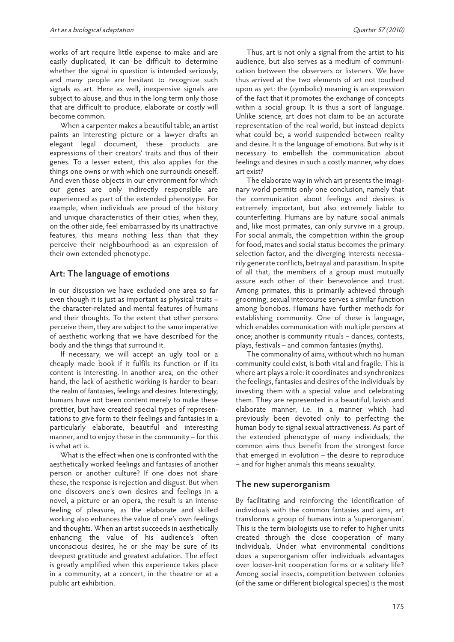works of art require little expense to make and are easily duplicated, it can be difficult to determine whether the signal in question is intended seriously, and many people are hesitant to recognize such signals as art. Here as well, inexpensive signals are subject to abuse, and thus in the long term only those that are difficult to produce, elaborate or costly will become common.

When a carpenter makes a beautiful table, an artist paints an interesting picture or a lawyer drafts an elegant legal document, these products are expressions of their creators' traits and thus of their genes. To a lesser extent, this also applies for the things one owns or with which one surrounds oneself. And even those objects in our environment for which our genes are only indirectly responsible are experienced as part of the extended phenotype. For example, when individuals are proud of the history and unique characteristics of their cities, when they, on the other side, feel embarrassed by its unattractive features, this means nothing less than that they perceive their neighbourhood as an expression of their own extended phenotype.

#### **Art: The language of emotions**

In our discussion we have excluded one area so far even though it is just as important as physical traits – the character-related and mental features of humans and their thoughts. To the extent that other persons perceive them, they are subject to the same imperative of aesthetic working that we have described for the body and the things that surround it.

If necessary, we will accept an ugly tool or a cheaply made book if it fulfils its function or if its content is interesting. In another area, on the other hand, the lack of aesthetic working is harder to bear: the realm of fantasies, feelings and desires. Interestingly, humans have not been content merely to make these prettier, but have created special types of representations to give form to their feelings and fantasies in a particularly elaborate, beautiful and interesting manner, and to enjoy these in the community – for this is what art is.

What is the effect when one is confronted with the aesthetically worked feelings and fantasies of another person or another culture? If one does not share these, the response is rejection and disgust. But when one discovers one's own desires and feelings in a novel, a picture or an opera, the result is an intense feeling of pleasure, as the elaborate and skilled working also enhances the value of one's own feelings and thoughts. When an artist succeeds in aesthetically enhancing the value of his audience's often unconscious desires, he or she may be sure of its deepest gratitude and greatest adulation. The effect is greatly amplified when this experience takes place in a community, at a concert, in the theatre or at a public art exhibition.

Thus, art is not only a signal from the artist to his audience, but also serves as a medium of communication between the observers or listeners. We have thus arrived at the two elements of art not touched upon as yet: the (symbolic) meaning is an expression of the fact that it promotes the exchange of concepts within a social group. It is thus a sort of language. Unlike science, art does not claim to be an accurate representation of the real world, but instead depicts what could be, a world suspended between reality and desire. It is the language of emotions. But why is it necessary to embellish the communication about feelings and desires in such a costly manner, why does art exist?

The elaborate way in which art presents the imaginary world permits only one conclusion, namely that the communication about feelings and desires is extremely important, but also extremely liable to counterfeiting. Humans are by nature social animals and, like most primates, can only survive in a group. For social animals, the competition within the group for food, mates and social status becomes the primary selection factor, and the diverging interests necessarily generate conflicts, betrayal and parasitism. In spite of all that, the members of a group must mutually assure each other of their benevolence and trust. Among primates, this is primarily achieved through grooming; sexual intercourse serves a similar function among bonobos. Humans have further methods for establishing community. One of these is language, which enables communication with multiple persons at once; another is community rituals – dances, contests, plays, festivals – and common fantasies (myths).

The commonality of aims, without which no human community could exist, is both vital and fragile. This is where art plays a role: it coordinates and synchronizes the feelings, fantasies and desires of the individuals by investing them with a special value and celebrating them. They are represented in a beautiful, lavish and elaborate manner, i.e. in a manner which had previously been devoted only to perfecting the human body to signal sexual attractiveness. As part of the extended phenotype of many individuals, the common aims thus benefit from the strongest force that emerged in evolution – the desire to reproduce – and for higher animals this means sexuality.

#### **The new superorganism**

By facilitating and reinforcing the identification of individuals with the common fantasies and aims, art transforms a group of humans into a 'superorganism'. This is the term biologists use to refer to higher units created through the close cooperation of many individuals. Under what environmental conditions does a superorganism offer individuals advantages over looser-knit cooperation forms or a solitary life? Among social insects, competition between colonies (of the same or different biological species) is the most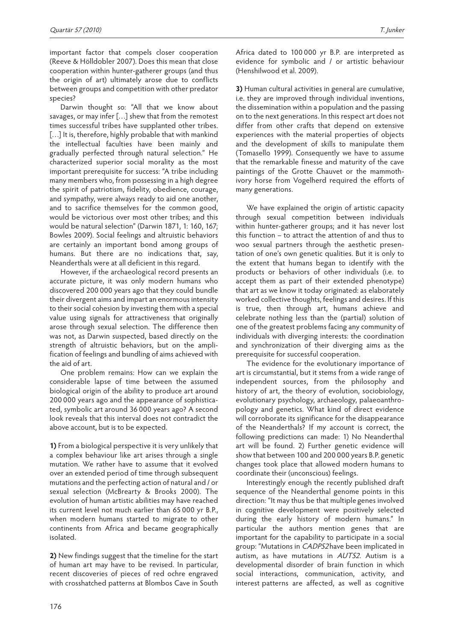important factor that compels closer cooperation (Reeve & Hölldobler 2007). Does this mean that close cooperation within hunter-gatherer groups (and thus the origin of art) ultimately arose due to conflicts between groups and competition with other predator species?

Darwin thought so: "All that we know about savages, or may infer […] shew that from the remotest times successful tribes have supplanted other tribes. [...] It is, therefore, highly probable that with mankind the intellectual faculties have been mainly and gradually perfected through natural selection." He characterized superior social morality as the most important prerequisite for success: "A tribe including many members who, from possessing in a high degree the spirit of patriotism, fidelity, obedience, courage, and sympathy, were always ready to aid one another, and to sacrifice themselves for the common good, would be victorious over most other tribes; and this would be natural selection" (Darwin 1871, 1: 160, 167; Bowles 2009). Social feelings and altruistic behaviors are certainly an important bond among groups of humans. But there are no indications that, say, Neanderthals were at all deficient in this regard.

However, if the archaeological record presents an accurate picture, it was only modern humans who discovered 200 000 years ago that they could bundle their divergent aims and impart an enormous intensity to their social cohesion by investing them with a special value using signals for attractiveness that originally arose through sexual selection. The difference then was not, as Darwin suspected, based directly on the strength of altruistic behaviors, but on the amplification of feelings and bundling of aims achieved with the aid of art.

One problem remains: How can we explain the considerable lapse of time between the assumed biological origin of the ability to produce art around 200 000 years ago and the appearance of sophisticated, symbolic art around 36 000 years ago? A second look reveals that this interval does not contradict the above account, but is to be expected.

**1)** From a biological perspective it is very unlikely that a complex behaviour like art arises through a single mutation. We rather have to assume that it evolved over an extended period of time through subsequent mutations and the perfecting action of natural and / or sexual selection (McBrearty & Brooks 2000). The evolution of human artistic abilities may have reached its current level not much earlier than 65 000 yr B.P., when modern humans started to migrate to other continents from Africa and became geographically isolated.

**2)** New findings suggest that the timeline for the start of human art may have to be revised. In particular, recent discoveries of pieces of red ochre engraved with crosshatched patterns at Blombos Cave in South Africa dated to 100 000 yr B.P. are interpreted as evidence for symbolic and / or artistic behaviour (Henshilwood et al. 2009).

**3)** Human cultural activities in general are cumulative, i.e. they are improved through individual inventions, the dissemination within a population and the passing on to the next generations. In this respect art does not differ from other crafts that depend on extensive experiences with the material properties of objects and the development of skills to manipulate them (Tomasello 1999). Consequently we have to assume that the remarkable finesse and maturity of the cave paintings of the Grotte Chauvet or the mammothivory horse from Vogelherd required the efforts of many generations.

We have explained the origin of artistic capacity through sexual competition between individuals within hunter-gatherer groups; and it has never lost this function – to attract the attention of and thus to woo sexual partners through the aesthetic presentation of one's own genetic qualities. But it is only to the extent that humans began to identify with the products or behaviors of other individuals (i.e. to accept them as part of their extended phenotype) that art as we know it today originated: as elaborately worked collective thoughts, feelings and desires. If this is true, then through art, humans achieve and celebrate nothing less than the (partial) solution of one of the greatest problems facing any community of individuals with diverging interests: the coordination and synchronization of their diverging aims as the prerequisite for successful cooperation.

The evidence for the evolutionary importance of art is circumstantial, but it stems from a wide range of independent sources, from the philosophy and history of art, the theory of evolution, sociobiology, evolutionary psychology, archaeology, palaeoanthropology and genetics. What kind of direct evidence will corroborate its significance for the disappearance of the Neanderthals? If my account is correct, the following predictions can made: 1) No Neanderthal art will be found. 2) Further genetic evidence will show that between 100 and 200 000 years B.P. genetic changes took place that allowed modern humans to coordinate their (unconscious) feelings.

Interestingly enough the recently published draft sequence of the Neanderthal genome points in this direction: "It may thus be that multiple genes involved in cognitive development were positively selected during the early history of modern humans." In particular the authors mention genes that are important for the capability to participate in a social group: "Mutations in CADPS2 have been implicated in autism, as have mutations in AUTS2. Autism is a developmental disorder of brain function in which social interactions, communication, activity, and interest patterns are affected, as well as cognitive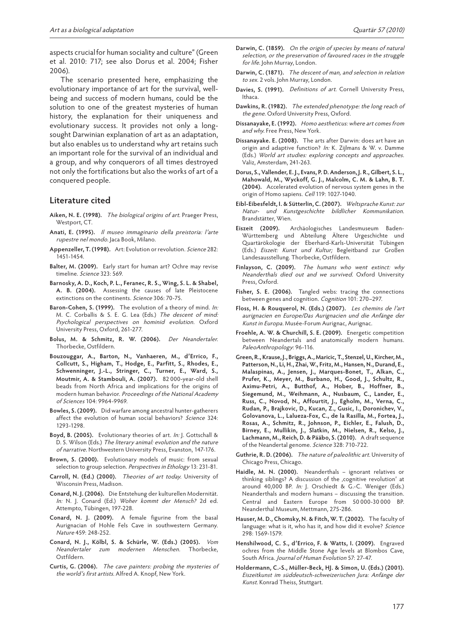aspects crucialfor human sociality and culture" (Green et al. 2010: 717; see also Dorus et al. 2004; Fisher 2006).

The scenario presented here, emphasizing the evolutionary importance of art for the survival, wellbeing and success of modern humans, could be the solution to one of the greatest mysteries of human history, the explanation for their uniqueness and evolutionary success. It provides not only a longsought Darwinian explanation of art as an adaptation, but also enables us to understand why art retains such an important role for the survival of an individual and a group, and why conquerors of all times destroyed not only the fortifications but also the works of art of a conquered people.

#### **Literature cited**

- **Aiken, N. E. (1998).** The biological origins of art. Praeger Press, Westport, CT.
- **Anati, E. (1995).** Il museo immaginario della preistoria: l'arte rupestre nel mondo. Jaca Book, Milano.
- **Appenzeller, T. (1998).** Art: Evolution or revolution. Science 282: 1451-1454.
- **Balter, M. (2009).** Early start for human art? Ochre may revise timeline. Science 323: 569.
- **Barnosky, A. D., Koch, P. L., Feranec, R. S., Wing, S. L. & Shabel, A. B. (2004).** Assessing the causes of late Pleistocene extinctions on the continents. Science 306: 70-75.
- **Baron-Cohen, S. (1999).** The evolution of a theory of mind. In: M. C. Corballis & S. E. G. Lea (Eds.) The descent of mind: Psychological perspectives on hominid evolution. Oxford University Press, Oxford, 261-277.
- **Bolus, M. & Schmitz, R. W. (2006).** Der Neandertaler. Thorbecke, Ostfildern.
- **Bouzouggar, A., Barton, N., Vanhaeren, M., d'Errico, F., Collcutt, S., Higham, T., Hodge, E., Parfitt, S., Rhodes, E., Schwenninger, J.-L., Stringer, C., Turner, E., Ward, S., Moutmir, A. & Stambouli, A. (2007).** 82 000-year-old shell beads from North Africa and implications for the origins of modern human behavior. Proceedings of the National Academy of Sciences 104: 9964-9969.
- **Bowles, S. (2009).** Did warfare among ancestral hunter-gatherers affect the evolution of human social behaviors? Science 324: 1293-1298.
- **Boyd, B. (2005).** Evolutionary theories of art. In: J. Gottschall & D. S. Wilson (Eds.) The literary animal: evolution and the nature of narrative. Northwestern University Press, Evanston, 147-176.
- **Brown, S. (2000).** Evolutionary models of music: from sexual selection to group selection. Perspectives in Ethology 13: 231-81.
- **Carroll, N. (Ed.) (2000).** Theories of art today. University of Wisconsin Press, Madison.
- **Conard, N. J. (2006).** Die Entstehung der kulturellen Modernität. In: N. J. Conard (Ed.) Woher kommt der Mensch? 2d ed. Attempto, Tübingen, 197-228.
- **Conard, N. J. (2009).** A female figurine from the basal Aurignacian of Hohle Fels Cave in southwestern Germany. Nature 459: 248-252.
- **Conard, N. J., Kölbl, S. & Schürle, W. (Eds.) (2005).** Vom Neandertaler zum modernen Menschen. Thorbecke, Ostfildern.
- **Curtis, G. (2006).** The cave painters: probing the mysteries of the world's first artists. Alfred A. Knopf, New York.
- **Darwin, C. (1859).** On the origin of species by means of natural selection, or the preservation of favoured races in the struggle for life. John Murray, London.
- **Darwin, C. (1871).** The descent of man, and selection in relation to sex. 2 vols. John Murray, London.
- **Davies, S. (1991).** Definitions of art. Cornell University Press, Ithaca.
- **Dawkins, R. (1982).** The extended phenotype: the long reach of the gene. Oxford University Press, Oxford.
- **Dissanayake, E. (1992).** Homo aestheticus: where art comes from and why. Free Press, New York.
- **Dissanayake. E. (2008).** The arts after Darwin: does art have an origin and adaptive function? In: K. Zijlmans & W. v. Damme (Eds.) World art studies: exploring concepts and approaches. Valiz, Amsterdam, 241-263.
- **Dorus, S., Vallender, E. J., Evans, P. D. Anderson, J. R., Gilbert, S. L., Mahowald, M., Wyckoff, G. J., Malcolm, C. M. & Lahn, B. T. (2004).** Accelerated evolution of nervous system genes in the origin of Homo sapiens. Cell 119: 1027-1040.
- **Eibl-Eibesfeldt, I. & Sütterlin, C. (2007).** Weltsprache Kunst: zur Natur- und Kunstgeschichte bildlicher Kommunikation. Brandstätter, Wien.
- **Eiszeit (2009).** Archäologisches Landesmuseum Baden-Württemberg und Abteilung Ältere Urgeschichte und Quartärökologie der Eberhard-Karls-Universität Tübingen (Eds.) Eiszeit: Kunst und Kultur; Begleitband zur Großen Landesausstellung. Thorbecke, Ostfildern.
- **Finlayson, C. (2009).** The humans who went extinct: why Neanderthals died out and we survived. Oxford University Press, Oxford.
- **Fisher, S. E. (2006).** Tangled webs: tracing the connections between genes and cognition. Cognition 101: 270–297.
- **Floss, H. & Rouquerol, N. (Eds.) (2007).** Les chemins de l'art aurignacien en Europe/Das Aurignacien und die Anfänge der Kunst in Europa. Musée-Forum Aurignac, Aurignac.
- **Froehle, A. W. & Churchill, S. E. (2009).** Energetic competition between Neandertals and anatomically modern humans. PaleoAnthropology: 96-116.
- **Green, R., Krause, J., Briggs, A., Maricic, T., Stenzel, U., Kircher, M., Patterson, N., Li, H., Zhai, W., Fritz, M., Hansen, N., Durand, E., Malaspinas, A., Jensen, J., Marques-Bonet, T., Alkan, C., Prufer, K., Meyer, M., Burbano, H., Good, J., Schultz, R., Aximu-Petri, A., Butthof, A., Hober, B., Hoffner, B., Siegemund, M., Weihmann, A., Nusbaum, C., Lander, E., Russ, C., Novod, N., Affourtit, J., Egholm, M., Verna, C., Rudan, P., Brajkovic, D., Kucan, Z., Gusic, I., Doronichev, V., Golovanova, L., Lalueza-Fox, C., de la Rasilla, M., Fortea, J., Rosas, A., Schmitz, R., Johnson, P., Eichler, E., Falush, D., Birney, E., Mullikin, J., Slatkin, M., Nielsen, R., Kelso, J., Lachmann, M., Reich, D. & Pääbo, S. (2010).** A draft sequence of the Neandertal genome. Science 328: 710-722.
- **Guthrie, R. D. (2006).** The nature of paleolithic art. University of Chicago Press, Chicago.
- **Haidle, M. N. (2000).** Neanderthals ignorant relatives or thinking siblings? A discussion of the ,cognitive revolution' at around 40,000 BP. In: J. Orschiedt & G.-C. Weniger (Eds.) Neanderthals and modern humans – discussing the transition. Central and Eastern Europe from 50 000-30 000 BP. Neanderthal Museum, Mettmann, 275-286.
- **Hauser, M. D., Chomsky, N. & Fitch, W. T. (2002).** The faculty of language: what is it, who has it, and how did it evolve? Science 298: 1569-1579.
- **Henshilwood, C. S., d'Errico, F. & Watts, I. (2009).** Engraved ochres from the Middle Stone Age levels at Blombos Cave, South Africa. Journal of Human Evolution 57: 27-47.
- **Holdermann, C.-S., Müller-Beck, HJ. & Simon, U. (Eds.) (2001).** Eiszeitkunst im süddeutsch-schweizerischen Jura: Anfänge der Kunst. Konrad Theiss, Stuttgart.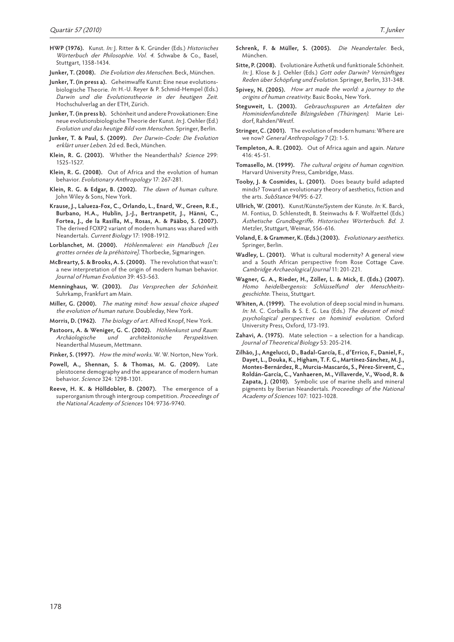- **Junker, T. (2008).** Die Evolution des Menschen. Beck, München.
- **Junker, T. (in press a).** Geheimwaffe Kunst: Eine neue evolutionsbiologische Theorie. In: H.-U. Reyer & P. Schmid-Hempel (Eds.) Darwin und die Evolutionstheorie in der heutigen Zeit. Hochschulverlag an der ETH, Zürich.
- **Junker, T. (in press b).** Schönheit und andere Provokationen: Eine neue evolutionsbiologische Theorie der Kunst. In: J. Oehler (Ed.) Evolution und das heutige Bild vom Menschen. Springer, Berlin.
- **Junker, T. & Paul, S. (2009).** Der Darwin-Code: Die Evolution erklärt unser Leben. 2d ed. Beck, München.
- Klein, R. G. (2003). Whither the Neanderthals? Science 299: 1525-1527.
- **Klein, R. G. (2008).** Out of Africa and the evolution of human behavior. Evolutionary Anthropology 17: 267-281.
- **Klein, R. G. & Edgar, B. (2002).** The dawn of human culture. John Wiley & Sons, New York.
- **Krause, J., Lalueza-Fox, C., Orlando, L., Enard, W., Green, R.E., Burbano, H.A., Hublin, J.-J., Bertranpetit, J., Hänni, C., Fortea, J., de la Rasilla, M., Rosas, A. & Pääbo, S. (2007).** The derived FOXP2 variant of modern humans was shared with Neandertals. Current Biology 17: 1908-1912.
- **Lorblanchet, M. (2000).** Höhlenmalerei: ein Handbuch [Les grottes ornées de la préhistoire]. Thorbecke, Sigmaringen.
- **McBrearty, S. & Brooks, A. S. (2000).** The revolution that wasn't: a new interpretation of the origin of modern human behavior. Journal of Human Evolution 39: 453-563.
- **Menninghaus, W. (2003).** Das Versprechen der Schönheit. Suhrkamp, Frankfurt am Main.
- **Miller, G. (2000).** The mating mind: how sexual choice shaped the evolution of human nature. Doubleday, New York.
- **Morris, D. (1962).** The biology of art. Alfred Knopf, New York.
- **Pastoors, A. & Weniger, G. C. (2002).** Höhlenkunst und Raum: Archäologische und architektonische Perspektiven. Neanderthal Museum, Mettmann.
- Pinker, S. (1997). How the mind works. W. W. Norton, New York.
- **Powell, A., Shennan, S. & Thomas, M. G. (2009).** Late pleistocene demography and the appearance of modern human behavior. Science 324: 1298-1301.
- **Reeve, H. K. & Hölldobler, B. (2007).** The emergence of a superorganism through intergroup competition. Proceedings of the National Academy of Sciences 104: 9736-9740.
- **Schrenk, F. & Müller, S. (2005).** Die Neandertaler. Beck, München.
- **Sitte, P. (2008).** Evolutionäre Ästhetik und funktionale Schönheit. In: J. Klose & J. Oehler (Eds.) Gott oder Darwin? Vernünftiges Reden über Schöpfung und Evolution. Springer, Berlin, 331-348.
- **Spivey, N. (2005).** How art made the world: a journey to the origins of human creativity. Basic Books, New York.
- **Steguweit, L. (2003).** Gebrauchsspuren an Artefakten der Hominidenfundstelle Bilzingsleben (Thüringen). Marie Leidorf, Rahden/Westf.
- **Stringer, C. (2001).** The evolution of modern humans: Where are we now? General Anthropology 7 (2): 1-5.
- **Templeton, A. R. (2002).** Out of Africa again and again. Nature 416: 45-51.
- **Tomasello, M. (1999).** The cultural origins of human cognition. Harvard University Press, Cambridge, Mass.
- **Tooby, J. & Cosmides, L. (2001).** Does beauty build adapted minds? Toward an evolutionary theory of aesthetics, fiction and the arts. SubStance 94/95: 6-27.
- **Ullrich, W. (2001).** Kunst/Künste/System der Künste. In: K. Barck, M. Fontius, D. Schlenstedt, B. Steinwachs & F. Wolfzettel (Eds.) Ästhetische Grundbegriffe. Historisches Wörterbuch. Bd. 3. Metzler, Stuttgart, Weimar, 556-616.
- **Voland, E. & Grammer, K. (Eds.) (2003).** Evolutionary aesthetics. Springer, Berlin.
- **Wadley, L. (2001).** What is cultural modernity? A general view and a South African perspective from Rose Cottage Cave. Cambridge Archaeological Journal 11: 201-221.
- **Wagner, G. A., Rieder, H., Zöller, L. & Mick, E. (Eds.) (2007).** Homo heidelbergensis: Schlüsselfund der Menschheitsgeschichte. Theiss, Stuttgart.
- **Whiten, A. (1999).** The evolution of deep social mind in humans. In: M. C. Corballis & S. E. G. Lea (Eds.) The descent of mind: psychological perspectives on hominid evolution. Oxford University Press, Oxford, 173-193.
- **Zahavi, A. (1975).** Mate selection a selection for a handicap. Journal of Theoretical Biology 53: 205-214.
- **Zilhão, J., Angelucci, D., Badal-García, E., d'Errico, F., Daniel, F., Dayet, L., Douka, K., Higham, T. F. G., Martínez-Sánchez, M. J., Montes-Bernárdez, R., Murcia-Mascarós, S., Pérez-Sirvent, C., Roldán-García, C., Vanhaeren, M., Villaverde, V., Wood, R. & Zapata, J. (2010).** Symbolic use of marine shells and mineral pigments by Iberian Neandertals. Proceedings of the National Academy of Sciences 107: 1023-1028.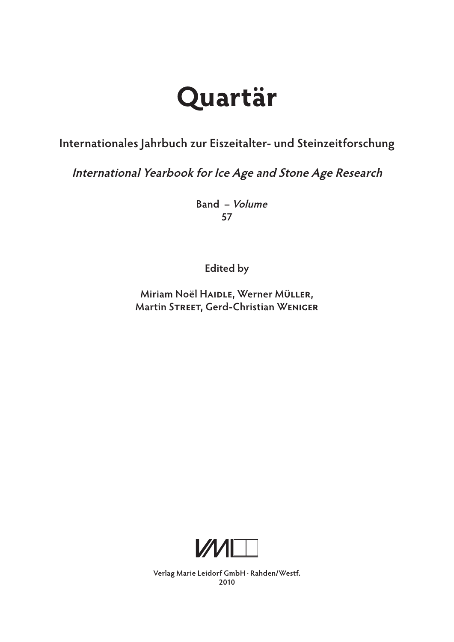# **Quartär**

## **Internationales Jahrbuch zur Eiszeitalter- und Steinzeitforschung**

**International Yearbook for Ice Age and Stone Age Research**

 **Band – Volume 57**

**Edited by**

**Miriam Noël Haidle, Werner Müller, Martin Street, Gerd-Christian Weniger**



**Verlag Marie Leidorf GmbH** .  **Rahden/Westf. 2010**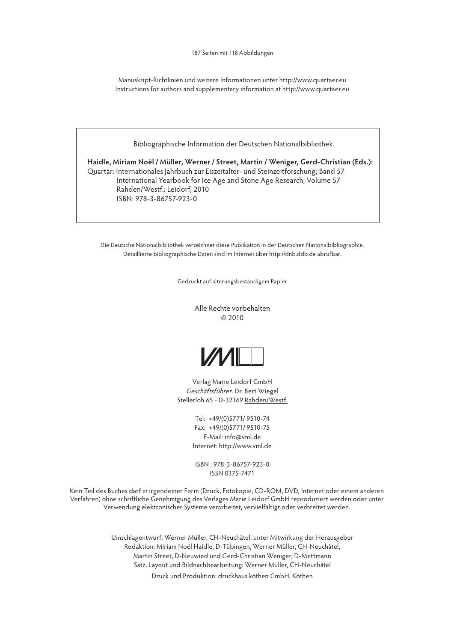187 Seiten mit 118 Abbildungen

Manuskript-Richtlinien und weitere Informationen unter http://www.quartaer.eu Instructions for authors and supplementary information at http://www.quartaer.eu

Bibliographische Information der Deutschen Nationalbibliothek

**Haidle, Miriam Noël / Müller, Werner / Street, Martin / Weniger, Gerd-Christian (Eds.):** Quartär: Internationales Jahrbuch zur Eiszeitalter- und Steinzeitforschung; Band 57 International Yearbook for Ice Age and Stone Age Research; Volume 57 Rahden/Westf.: Leidorf, 2010 ISBN: 978-3-86757-923-0

Die Deutsche Nationalbibliothek verzeichnet diese Publikation in der Deutschen Nationalbibliographie. Detaillierte bibliographische Daten sind im Internet über http://dnb.ddb.de abrufbar.

Gedruckt auf alterungsbeständigem Papier

Alle Rechte vorbehalten © 2010



Verlag Marie Leidorf GmbH Geschäftsführer: Dr. Bert Wiegel Stellerloh 65 - D-32369 Rahden/Westf.

> Tel: +49/(0)5771/ 9510-74 Fax: +49/(0)5771/ 9510-75 E-Mail: info@vml.de Internet: http://www.vml.de

ISBN : 978-3-86757-923-0 ISSN 0375-7471

Kein Teil des Buches darf in irgendeiner Form (Druck, Fotokopie, CD-ROM, DVD, Internet oder einem anderen Verfahren) ohne schriftliche Genehmigung des Verlages Marie Leidorf GmbH reproduziert werden oder unter Verwendung elektronischer Systeme verarbeitet, vervielfältigt oder verbreitet werden.

> Umschlagentwurf: Werner Müller, CH-Neuchâtel, unter Mitwirkung der Herausgeber Redaktion: Miriam Noël Haidle, D-Tübingen, Werner Müller, CH-Neuchâtel, Martin Street, D-Neuwied und Gerd-Christian Weniger, D-Mettmann Satz, Layout und Bildnachbearbeitung: Werner Müller, CH-Neuchâtel

Druck und Produktion: druckhaus köthen GmbH, Köthen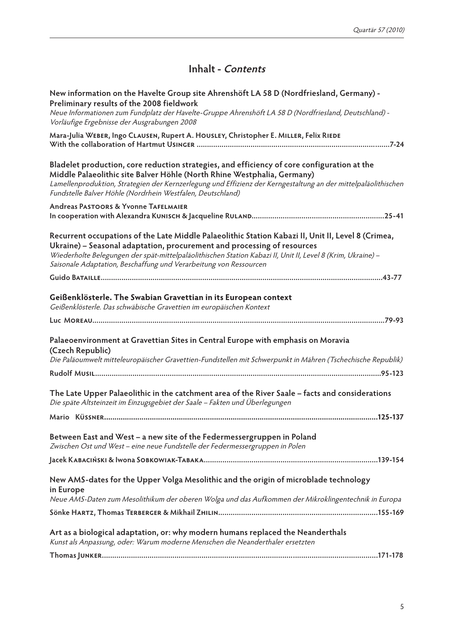### **Inhalt - Contents**

| New information on the Havelte Group site Ahrenshöft LA 58 D (Nordfriesland, Germany) -<br>Preliminary results of the 2008 fieldwork                                                                                                                                                                                                                              |
|-------------------------------------------------------------------------------------------------------------------------------------------------------------------------------------------------------------------------------------------------------------------------------------------------------------------------------------------------------------------|
| Neue Informationen zum Fundplatz der Havelte-Gruppe Ahrenshöft LA 58 D (Nordfriesland, Deutschland) -<br>Vorläufige Ergebnisse der Ausgrabungen 2008                                                                                                                                                                                                              |
| Mara-Julia WEBER, Ingo CLAUSEN, Rupert A. HOUSLEY, Christopher E. MILLER, Felix RIEDE                                                                                                                                                                                                                                                                             |
| Bladelet production, core reduction strategies, and efficiency of core configuration at the<br>Middle Palaeolithic site Balver Höhle (North Rhine Westphalia, Germany)<br>Lamellenproduktion, Strategien der Kernzerlegung und Effizienz der Kerngestaltung an der mittelpaläolithischen<br>Fundstelle Balver Höhle (Nordrhein Westfalen, Deutschland)            |
| <b>Andreas PASTOORS &amp; Yvonne TAFELMAIER</b>                                                                                                                                                                                                                                                                                                                   |
| Recurrent occupations of the Late Middle Palaeolithic Station Kabazi II, Unit II, Level 8 (Crimea,<br>Ukraine) - Seasonal adaptation, procurement and processing of resources<br>Wiederholte Belegungen der spät-mittelpaläolithischen Station Kabazi II, Unit II, Level 8 (Krim, Ukraine) -<br>Saisonale Adaptation, Beschaffung und Verarbeitung von Ressourcen |
|                                                                                                                                                                                                                                                                                                                                                                   |
| Geißenklösterle. The Swabian Gravettian in its European context<br>Geißenklösterle. Das schwäbische Gravettien im europäischen Kontext                                                                                                                                                                                                                            |
|                                                                                                                                                                                                                                                                                                                                                                   |
| Palaeoenvironment at Gravettian Sites in Central Europe with emphasis on Moravia<br>(Czech Republic)                                                                                                                                                                                                                                                              |
| Die Paläoumwelt mitteleuropäischer Gravettien-Fundstellen mit Schwerpunkt in Mähren (Tschechische Republik)                                                                                                                                                                                                                                                       |
| The Late Upper Palaeolithic in the catchment area of the River Saale - facts and considerations<br>Die späte Altsteinzeit im Einzugsgebiet der Saale - Fakten und Überlegungen                                                                                                                                                                                    |
|                                                                                                                                                                                                                                                                                                                                                                   |
| Between East and West - a new site of the Federmessergruppen in Poland<br>Zwischen Ost und West - eine neue Fundstelle der Federmessergruppen in Polen                                                                                                                                                                                                            |
|                                                                                                                                                                                                                                                                                                                                                                   |
| New AMS-dates for the Upper Volga Mesolithic and the origin of microblade technology<br>in Europe                                                                                                                                                                                                                                                                 |
| Neue AMS-Daten zum Mesolithikum der oberen Wolga und das Aufkommen der Mikroklingentechnik in Europa                                                                                                                                                                                                                                                              |
|                                                                                                                                                                                                                                                                                                                                                                   |
| Art as a biological adaptation, or: why modern humans replaced the Neanderthals<br>Kunst als Anpassung, oder: Warum moderne Menschen die Neanderthaler ersetzten                                                                                                                                                                                                  |
|                                                                                                                                                                                                                                                                                                                                                                   |